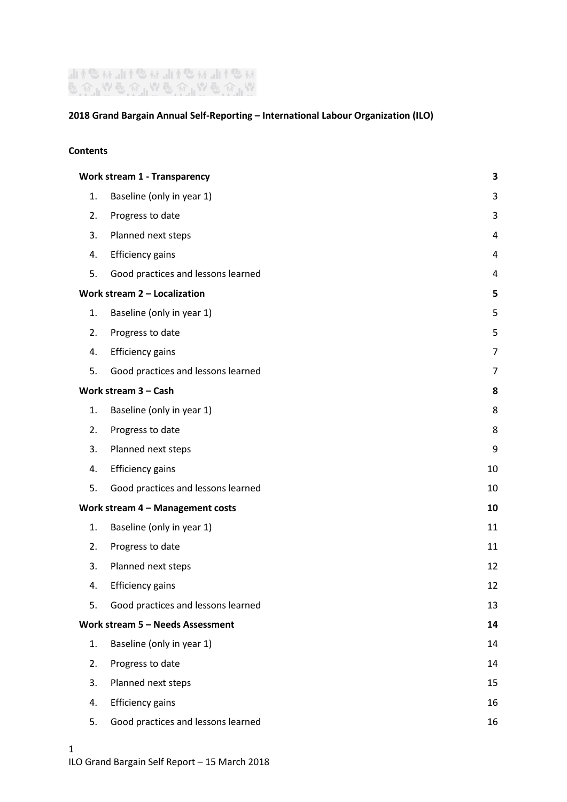# "₩֎\⊪™֎\⊪™֎\⊪™֎\⊪<br>W⊪₩®₩™®₩™®₩™®

# **2018 Grand Bargain Annual Self-Reporting – International Labour Organization (ILO)**

#### **Contents**

| <b>Work stream 1 - Transparency</b> |                                    | 3  |
|-------------------------------------|------------------------------------|----|
| 1.                                  | Baseline (only in year 1)          | 3  |
| 2.                                  | Progress to date                   | 3  |
| 3.                                  | Planned next steps                 | 4  |
| 4.                                  | <b>Efficiency gains</b>            | 4  |
| 5.                                  | Good practices and lessons learned | 4  |
| Work stream $2 -$ Localization      |                                    | 5  |
| 1.                                  | Baseline (only in year 1)          | 5  |
| 2.                                  | Progress to date                   | 5  |
| 4.                                  | <b>Efficiency gains</b>            | 7  |
| 5.                                  | Good practices and lessons learned | 7  |
| Work stream $3 - Cash$              |                                    | 8  |
| 1.                                  | Baseline (only in year 1)          | 8  |
| 2.                                  | Progress to date                   | 8  |
| 3.                                  | Planned next steps                 | 9  |
| 4.                                  | <b>Efficiency gains</b>            | 10 |
| 5.                                  | Good practices and lessons learned | 10 |
| Work stream 4 - Management costs    |                                    | 10 |
| 1.                                  | Baseline (only in year 1)          | 11 |
| 2.                                  | Progress to date                   | 11 |
| 3.                                  | Planned next steps                 | 12 |
| 4.                                  | <b>Efficiency gains</b>            | 12 |
| 5.                                  | Good practices and lessons learned | 13 |
| Work stream 5 - Needs Assessment    |                                    | 14 |
| 1.                                  | Baseline (only in year 1)          | 14 |
| 2.                                  | Progress to date                   | 14 |
| 3.                                  | Planned next steps                 | 15 |
| 4.                                  | <b>Efficiency gains</b>            | 16 |
| 5.                                  | Good practices and lessons learned | 16 |
|                                     |                                    |    |

1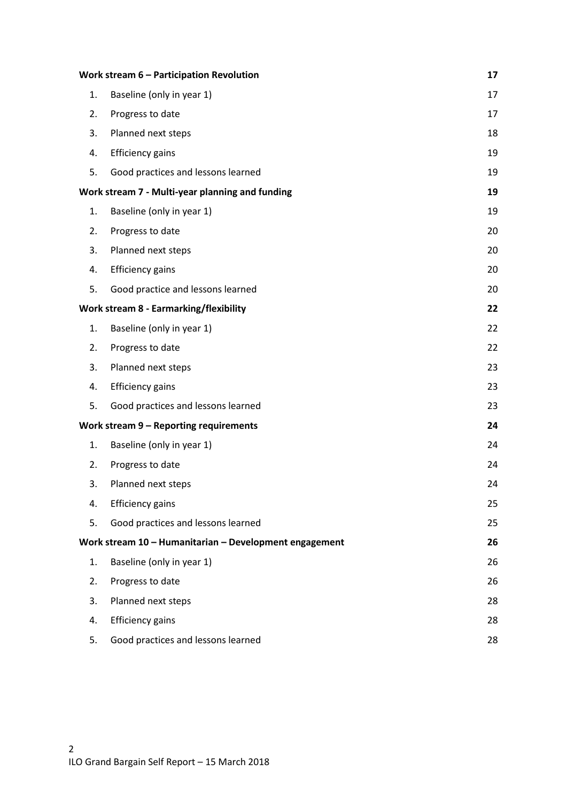| Work stream 6 - Participation Revolution        |                                                        | 17 |
|-------------------------------------------------|--------------------------------------------------------|----|
| 1.                                              | Baseline (only in year 1)                              | 17 |
| 2.                                              | Progress to date                                       | 17 |
| 3.                                              | Planned next steps                                     | 18 |
| 4.                                              | <b>Efficiency gains</b>                                | 19 |
| 5.                                              | Good practices and lessons learned                     | 19 |
| Work stream 7 - Multi-year planning and funding |                                                        | 19 |
| 1.                                              | Baseline (only in year 1)                              | 19 |
| 2.                                              | Progress to date                                       | 20 |
| 3.                                              | Planned next steps                                     | 20 |
| 4.                                              | <b>Efficiency gains</b>                                | 20 |
| 5.                                              | Good practice and lessons learned                      | 20 |
| <b>Work stream 8 - Earmarking/flexibility</b>   |                                                        | 22 |
| 1.                                              | Baseline (only in year 1)                              | 22 |
| 2.                                              | Progress to date                                       | 22 |
| 3.                                              | Planned next steps                                     | 23 |
| 4.                                              | <b>Efficiency gains</b>                                | 23 |
| 5.                                              | Good practices and lessons learned                     | 23 |
| Work stream 9 - Reporting requirements          |                                                        | 24 |
| 1.                                              | Baseline (only in year 1)                              | 24 |
| 2.                                              | Progress to date                                       | 24 |
| 3.                                              | Planned next steps                                     | 24 |
| 4.                                              | <b>Efficiency gains</b>                                | 25 |
| 5.                                              | Good practices and lessons learned                     | 25 |
|                                                 | Work stream 10 - Humanitarian - Development engagement | 26 |
| 1.                                              | Baseline (only in year 1)                              | 26 |
| 2.                                              | Progress to date                                       | 26 |
| 3.                                              | Planned next steps                                     | 28 |
| 4.                                              | <b>Efficiency gains</b>                                | 28 |
| 5.                                              | Good practices and lessons learned                     | 28 |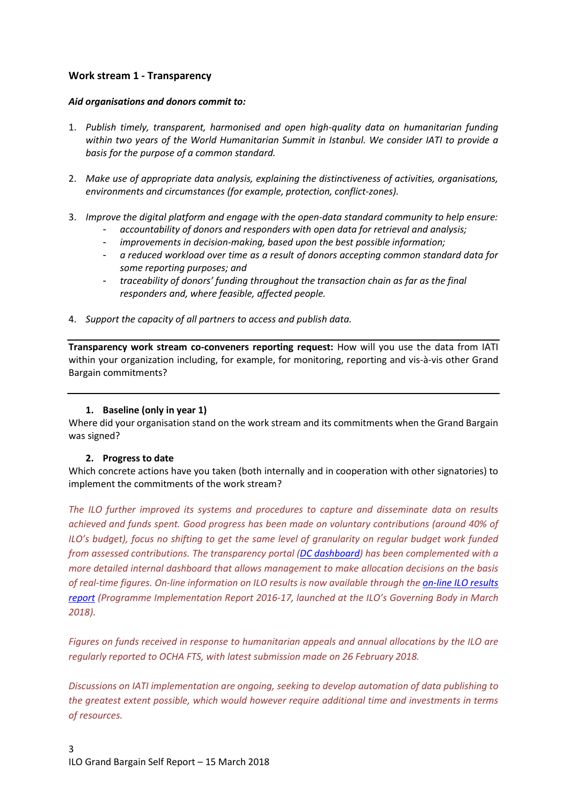# <span id="page-2-0"></span>**Work stream 1 - Transparency**

#### *Aid organisations and donors commit to:*

- 1. *Publish timely, transparent, harmonised and open high-quality data on humanitarian funding within two years of the World Humanitarian Summit in Istanbul. We consider IATI to provide a basis for the purpose of a common standard.*
- 2. *Make use of appropriate data analysis, explaining the distinctiveness of activities, organisations, environments and circumstances (for example, protection, conflict-zones).*
- 3. *Improve the digital platform and engage with the open-data standard community to help ensure:*
	- *accountability of donors and responders with open data for retrieval and analysis;*
	- *improvements in decision-making, based upon the best possible information;*
	- *a reduced workload over time as a result of donors accepting common standard data for some reporting purposes; and*
	- *traceability of donors' funding throughout the transaction chain as far as the final responders and, where feasible, affected people.*
- 4. *Support the capacity of all partners to access and publish data.*

**Transparency work stream co-conveners reporting request:** How will you use the data from IATI within your organization including, for example, for monitoring, reporting and vis-à-vis other Grand Bargain commitments?

## **1. Baseline (only in year 1)**

<span id="page-2-1"></span>Where did your organisation stand on the work stream and its commitments when the Grand Bargain was signed?

## <span id="page-2-2"></span>**2. Progress to date**

Which concrete actions have you taken (both internally and in cooperation with other signatories) to implement the commitments of the work stream?

*The ILO further improved its systems and procedures to capture and disseminate data on results achieved and funds spent. Good progress has been made on voluntary contributions (around 40% of ILO's budget), focus no shifting to get the same level of granularity on regular budget work funded from assessed contributions. The transparency portal [\(DC dashboard\)](https://www.ilo.org/DevelopmentCooperationDashboard/) has been complemented with a more detailed internal dashboard that allows management to make allocation decisions on the basis of real-time figures. On-line information on ILO results is now available through the [on-line ILO results](http://www.ilo.org/IRDashboard/#azfoxn0)  [report](http://www.ilo.org/IRDashboard/#azfoxn0) (Programme Implementation Report 2016-17, launched at the ILO's Governing Body in March 2018).*

*Figures on funds received in response to humanitarian appeals and annual allocations by the ILO are regularly reported to OCHA FTS, with latest submission made on 26 February 2018.*

*Discussions on IATI implementation are ongoing, seeking to develop automation of data publishing to the greatest extent possible, which would however require additional time and investments in terms of resources.*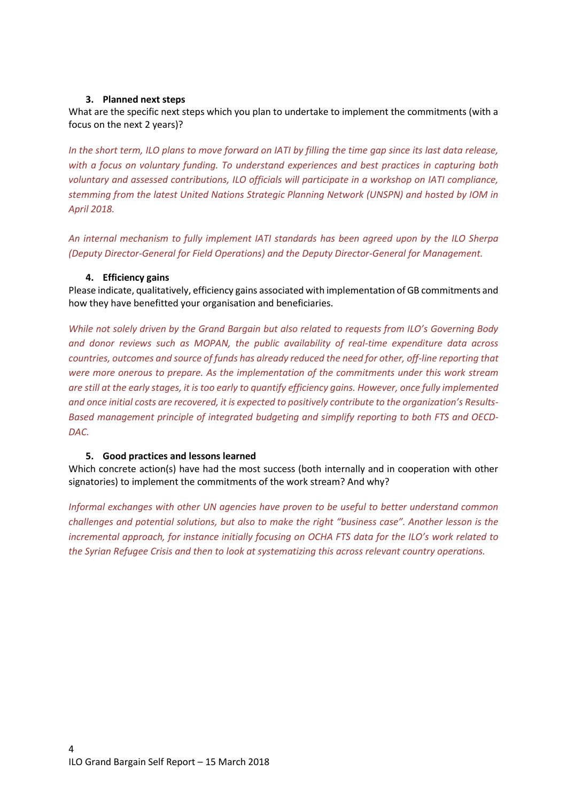#### <span id="page-3-0"></span>**3. Planned next steps**

What are the specific next steps which you plan to undertake to implement the commitments (with a focus on the next 2 years)?

*In the short term, ILO plans to move forward on IATI by filling the time gap since its last data release, with a focus on voluntary funding. To understand experiences and best practices in capturing both voluntary and assessed contributions, ILO officials will participate in a workshop on IATI compliance, stemming from the latest United Nations Strategic Planning Network (UNSPN) and hosted by IOM in April 2018.*

*An internal mechanism to fully implement IATI standards has been agreed upon by the ILO Sherpa (Deputy Director-General for Field Operations) and the Deputy Director-General for Management.*

#### <span id="page-3-1"></span>**4. Efficiency gains**

Please indicate, qualitatively, efficiency gains associated with implementation of GB commitments and how they have benefitted your organisation and beneficiaries.

*While not solely driven by the Grand Bargain but also related to requests from ILO's Governing Body and donor reviews such as MOPAN, the public availability of real-time expenditure data across countries, outcomes and source of funds has already reduced the need for other, off-line reporting that were more onerous to prepare. As the implementation of the commitments under this work stream are still at the early stages, it is too early to quantify efficiency gains. However, once fully implemented and once initial costs are recovered, it is expected to positively contribute to the organization's Results-Based management principle of integrated budgeting and simplify reporting to both FTS and OECD-DAC.*

#### <span id="page-3-2"></span>**5. Good practices and lessons learned**

Which concrete action(s) have had the most success (both internally and in cooperation with other signatories) to implement the commitments of the work stream? And why?

*Informal exchanges with other UN agencies have proven to be useful to better understand common challenges and potential solutions, but also to make the right "business case". Another lesson is the incremental approach, for instance initially focusing on OCHA FTS data for the ILO's work related to the Syrian Refugee Crisis and then to look at systematizing this across relevant country operations.*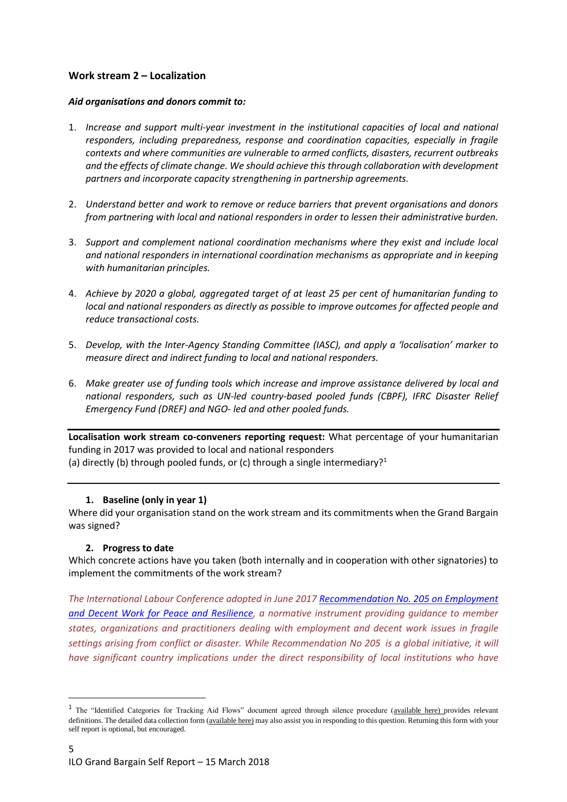# <span id="page-4-0"></span>**Work stream 2 – Localization**

#### *Aid organisations and donors commit to:*

- 1. *Increase and support multi-year investment in the institutional capacities of local and national responders, including preparedness, response and coordination capacities, especially in fragile contexts and where communities are vulnerable to armed conflicts, disasters, recurrent outbreaks and the effects of climate change. We should achieve this through collaboration with development partners and incorporate capacity strengthening in partnership agreements.*
- 2. *Understand better and work to remove or reduce barriers that prevent organisations and donors from partnering with local and national responders in order to lessen their administrative burden.*
- 3. *Support and complement national coordination mechanisms where they exist and include local and national responders in international coordination mechanisms as appropriate and in keeping with humanitarian principles.*
- 4. *Achieve by 2020 a global, aggregated target of at least 25 per cent of humanitarian funding to local and national responders as directly as possible to improve outcomes for affected people and reduce transactional costs.*
- 5. *Develop, with the Inter-Agency Standing Committee (IASC), and apply a 'localisation' marker to measure direct and indirect funding to local and national responders.*
- 6. *Make greater use of funding tools which increase and improve assistance delivered by local and national responders, such as UN-led country-based pooled funds (CBPF), IFRC Disaster Relief Emergency Fund (DREF) and NGO- led and other pooled funds.*

**Localisation work stream co-conveners reporting request:** What percentage of your humanitarian funding in 2017 was provided to local and national responders (a) directly (b) through pooled funds, or (c) through a single intermediary?<sup>1</sup>

## <span id="page-4-1"></span>**1. Baseline (only in year 1)**

Where did your organisation stand on the work stream and its commitments when the Grand Bargain was signed?

## <span id="page-4-2"></span>**2. Progress to date**

 $\overline{a}$ 

Which concrete actions have you taken (both internally and in cooperation with other signatories) to implement the commitments of the work stream?

*The International Labour Conference adopted in June 2017 [Recommendation No. 205 on Employment](http://www.ilo.org/dyn/normlex/en/f?p=NORMLEXPUB:12100:0::NO::P12100_ILO_CODE:R205)  [and Decent Work for Peace and Resilience,](http://www.ilo.org/dyn/normlex/en/f?p=NORMLEXPUB:12100:0::NO::P12100_ILO_CODE:R205) a normative instrument providing guidance to member states, organizations and practitioners dealing with employment and decent work issues in fragile settings arising from conflict or disaster. While Recommendation No 205 is a global initiative, it will have significant country implications under the direct responsibility of local institutions who have* 

<sup>&</sup>lt;sup>1</sup> The "Identified Categories for Tracking Aid Flows" document agreed through silence procedure [\(available here\)](https://interagencystandingcommittee.org/grand-bargain-hosted-iasc/documents/categories-tracking-funding-flows) provides relevant definitions. The detailed data collection form [\(available here\)](https://interagencystandingcommittee.org/grand-bargain-hosted-iasc/documents/localization-data-collection-form) may also assist you in responding to this question. Returning this form with your self report is optional, but encouraged.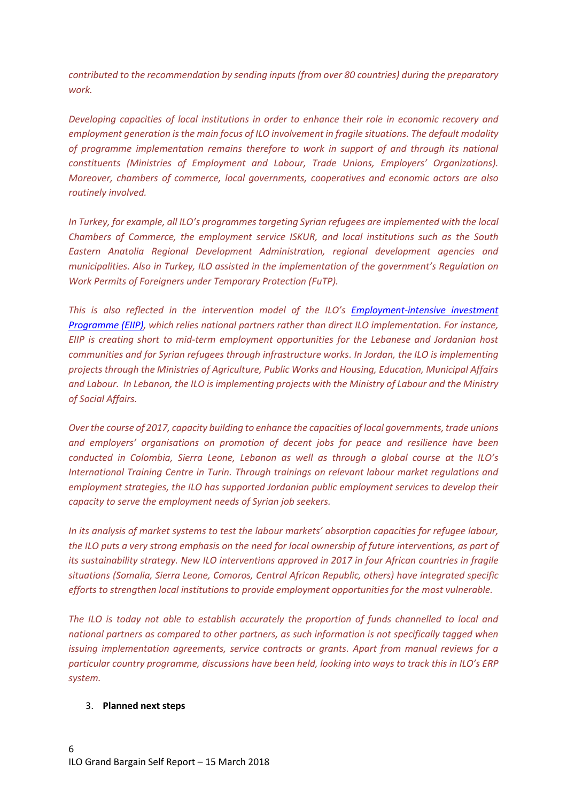*contributed to the recommendation by sending inputs (from over 80 countries) during the preparatory work.*

*Developing capacities of local institutions in order to enhance their role in economic recovery and employment generation isthe main focus of ILO involvement in fragile situations. The default modality of programme implementation remains therefore to work in support of and through its national constituents (Ministries of Employment and Labour, Trade Unions, Employers' Organizations). Moreover, chambers of commerce, local governments, cooperatives and economic actors are also routinely involved.* 

*In Turkey, for example, all ILO's programmes targeting Syrian refugees are implemented with the local Chambers of Commerce, the employment service ISKUR, and local institutions such as the South Eastern Anatolia Regional Development Administration, regional development agencies and municipalities. Also in Turkey, ILO assisted in the implementation of the government's Regulation on Work Permits of Foreigners under Temporary Protection (FuTP).*

*This is also reflected in the intervention model of the ILO's [Employment-intensive investment](http://www.ilo.org/employment/units/emp-invest/employment-intensive-investment/lang--en/index.htm)  [Programme \(EIIP\),](http://www.ilo.org/employment/units/emp-invest/employment-intensive-investment/lang--en/index.htm) which relies national partners rather than direct ILO implementation. For instance, EIIP is creating short to mid-term employment opportunities for the Lebanese and Jordanian host communities and for Syrian refugees through infrastructure works. In Jordan, the ILO is implementing projects through the Ministries of Agriculture, Public Works and Housing, Education, Municipal Affairs and Labour. In Lebanon, the ILO is implementing projects with the Ministry of Labour and the Ministry of Social Affairs.*

*Over the course of 2017, capacity building to enhance the capacities of local governments, trade unions and employers' organisations on promotion of decent jobs for peace and resilience have been conducted in Colombia, Sierra Leone, Lebanon as well as through a global course at the ILO's International Training Centre in Turin. Through trainings on relevant labour market regulations and employment strategies, the ILO has supported Jordanian public employment services to develop their capacity to serve the employment needs of Syrian job seekers.* 

*In its analysis of market systems to test the labour markets' absorption capacities for refugee labour, the ILO puts a very strong emphasis on the need for local ownership of future interventions, as part of its sustainability strategy. New ILO interventions approved in 2017 in four African countries in fragile situations (Somalia, Sierra Leone, Comoros, Central African Republic, others) have integrated specific efforts to strengthen local institutions to provide employment opportunities for the most vulnerable.*

*The ILO is today not able to establish accurately the proportion of funds channelled to local and national partners as compared to other partners, as such information is not specifically tagged when issuing implementation agreements, service contracts or grants. Apart from manual reviews for a particular country programme, discussions have been held, looking into ways to track this in ILO's ERP system.*

#### 3. **Planned next steps**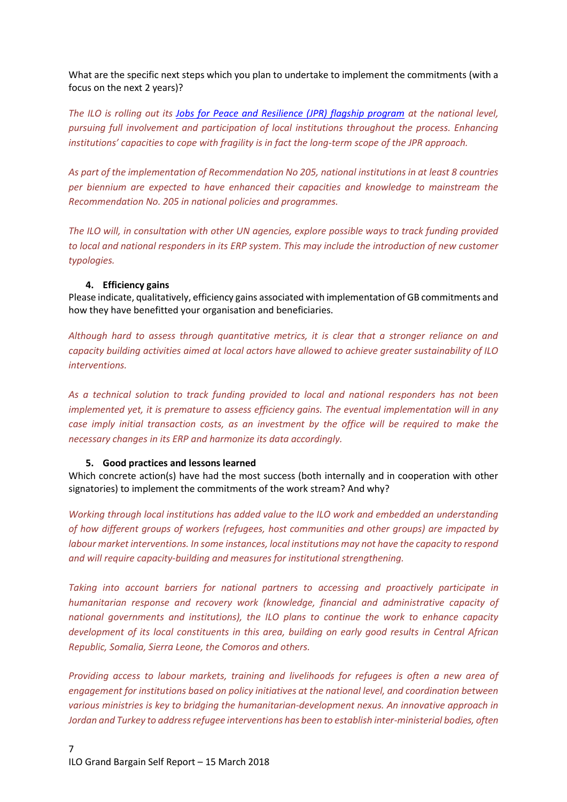What are the specific next steps which you plan to undertake to implement the commitments (with a focus on the next 2 years)?

*The ILO is rolling out its [Jobs for Peace and Resilience \(JPR\) flagship program](http://www.ilo.ch/global/about-the-ilo/how-the-ilo-works/WCMS_495276/lang--en/index.htm) at the national level, pursuing full involvement and participation of local institutions throughout the process. Enhancing institutions' capacities to cope with fragility is in fact the long-term scope of the JPR approach.* 

*As part of the implementation of Recommendation No 205, national institutions in at least 8 countries per biennium are expected to have enhanced their capacities and knowledge to mainstream the Recommendation No. 205 in national policies and programmes.*

*The ILO will, in consultation with other UN agencies, explore possible ways to track funding provided to local and national responders in its ERP system. This may include the introduction of new customer typologies.*

#### <span id="page-6-0"></span>**4. Efficiency gains**

Please indicate, qualitatively, efficiency gains associated with implementation of GB commitments and how they have benefitted your organisation and beneficiaries.

*Although hard to assess through quantitative metrics, it is clear that a stronger reliance on and capacity building activities aimed at local actors have allowed to achieve greater sustainability of ILO interventions.* 

*As a technical solution to track funding provided to local and national responders has not been implemented yet, it is premature to assess efficiency gains. The eventual implementation will in any case imply initial transaction costs, as an investment by the office will be required to make the necessary changes in its ERP and harmonize its data accordingly.*

#### <span id="page-6-1"></span>**5. Good practices and lessons learned**

Which concrete action(s) have had the most success (both internally and in cooperation with other signatories) to implement the commitments of the work stream? And why?

*Working through local institutions has added value to the ILO work and embedded an understanding of how different groups of workers (refugees, host communities and other groups) are impacted by labour market interventions. In some instances, local institutions may not have the capacity to respond and will require capacity-building and measures for institutional strengthening.*

*Taking into account barriers for national partners to accessing and proactively participate in humanitarian response and recovery work (knowledge, financial and administrative capacity of national governments and institutions), the ILO plans to continue the work to enhance capacity development of its local constituents in this area, building on early good results in Central African Republic, Somalia, Sierra Leone, the Comoros and others.*

*Providing access to labour markets, training and livelihoods for refugees is often a new area of engagement for institutions based on policy initiatives at the national level, and coordination between various ministries is key to bridging the humanitarian-development nexus. An innovative approach in Jordan and Turkey to address refugee interventions has been to establish inter-ministerial bodies, often*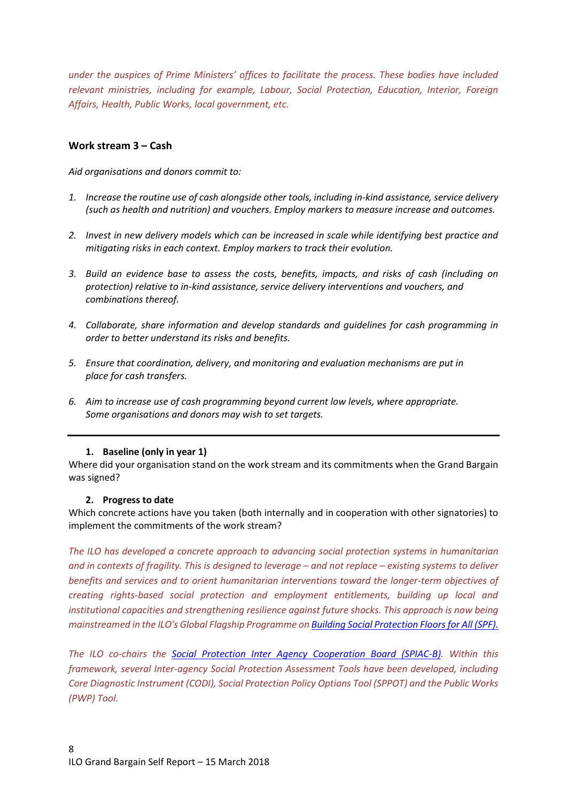*under the auspices of Prime Ministers' offices to facilitate the process. These bodies have included relevant ministries, including for example, Labour, Social Protection, Education, Interior, Foreign Affairs, Health, Public Works, local government, etc.* 

# <span id="page-7-0"></span>**Work stream 3 – Cash**

*Aid organisations and donors commit to:*

- *1. Increase the routine use of cash alongside other tools, including in-kind assistance, service delivery (such as health and nutrition) and vouchers. Employ markers to measure increase and outcomes.*
- *2. Invest in new delivery models which can be increased in scale while identifying best practice and mitigating risks in each context. Employ markers to track their evolution.*
- *3. Build an evidence base to assess the costs, benefits, impacts, and risks of cash (including on protection) relative to in-kind assistance, service delivery interventions and vouchers, and combinations thereof.*
- *4. Collaborate, share information and develop standards and guidelines for cash programming in order to better understand its risks and benefits.*
- *5. Ensure that coordination, delivery, and monitoring and evaluation mechanisms are put in place for cash transfers.*
- *6. Aim to increase use of cash programming beyond current low levels, where appropriate. Some organisations and donors may wish to set targets.*

#### <span id="page-7-1"></span>**1. Baseline (only in year 1)**

Where did your organisation stand on the work stream and its commitments when the Grand Bargain was signed?

#### <span id="page-7-2"></span>**2. Progress to date**

Which concrete actions have you taken (both internally and in cooperation with other signatories) to implement the commitments of the work stream?

*The ILO has developed a concrete approach to advancing social protection systems in humanitarian and in contexts of fragility. This is designed to leverage – and not replace – existing systems to deliver benefits and services and to orient humanitarian interventions toward the longer-term objectives of creating rights-based social protection and employment entitlements, building up local and institutional capacities and strengthening resilience against future shocks. This approach is now being mainstreamed in the ILO's Global Flagship Programme on [Building Social Protection Floors for All](http://www.ilo.org/global/about-the-ilo/how-the-ilo-works/WCMS_496742/lang--en/index.htm) (SPF).*

*The ILO co-chairs the Social Protection Inter [Agency Cooperation Board \(SPIAC-B\).](http://www.ilo.org/newyork/issues-at-work/social-protection/social-protection-inter-agency-cooperation-board/lang--en/index.htm) Within this framework, several Inter-agency Social Protection Assessment Tools have been developed, including Core Diagnostic Instrument (CODI), Social Protection Policy Options Tool (SPPOT) and the Public Works (PWP) Tool.*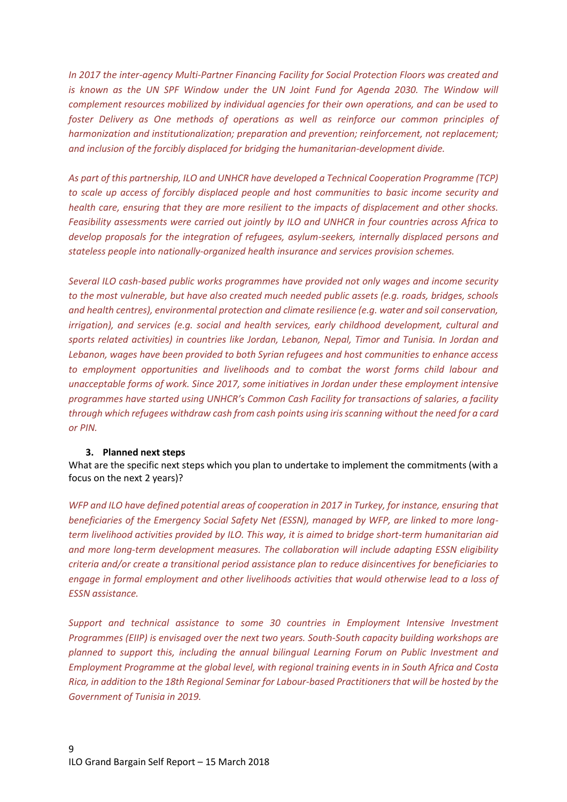*In 2017 the inter-agency Multi-Partner Financing Facility for Social Protection Floors was created and*  is known as the UN SPF Window under the UN Joint Fund for Agenda 2030. The Window will *complement resources mobilized by individual agencies for their own operations, and can be used to foster Delivery as One methods of operations as well as reinforce our common principles of harmonization and institutionalization; preparation and prevention; reinforcement, not replacement; and inclusion of the forcibly displaced for bridging the humanitarian-development divide.*

*As part of this partnership, ILO and UNHCR have developed a Technical Cooperation Programme (TCP) to scale up access of forcibly displaced people and host communities to basic income security and health care, ensuring that they are more resilient to the impacts of displacement and other shocks. Feasibility assessments were carried out jointly by ILO and UNHCR in four countries across Africa to develop proposals for the integration of refugees, asylum-seekers, internally displaced persons and stateless people into nationally-organized health insurance and services provision schemes.* 

*Several ILO cash-based public works programmes have provided not only wages and income security to the most vulnerable, but have also created much needed public assets (e.g. roads, bridges, schools and health centres), environmental protection and climate resilience (e.g. water and soil conservation, irrigation), and services (e.g. social and health services, early childhood development, cultural and sports related activities) in countries like Jordan, Lebanon, Nepal, Timor and Tunisia. In Jordan and Lebanon, wages have been provided to both Syrian refugees and host communities to enhance access to employment opportunities and livelihoods and to combat the worst forms child labour and unacceptable forms of work. Since 2017, some initiatives in Jordan under these employment intensive programmes have started using UNHCR's Common Cash Facility for transactions of salaries, a facility through which refugees withdraw cash from cash points using iris scanning without the need for a card or PIN.*

#### <span id="page-8-0"></span>**3. Planned next steps**

What are the specific next steps which you plan to undertake to implement the commitments (with a focus on the next 2 years)?

*WFP and ILO have defined potential areas of cooperation in 2017 in Turkey, for instance, ensuring that beneficiaries of the Emergency Social Safety Net (ESSN), managed by WFP, are linked to more longterm livelihood activities provided by ILO. This way, it is aimed to bridge short-term humanitarian aid and more long-term development measures. The collaboration will include adapting ESSN eligibility criteria and/or create a transitional period assistance plan to reduce disincentives for beneficiaries to engage in formal employment and other livelihoods activities that would otherwise lead to a loss of ESSN assistance.*

*Support and technical assistance to some 30 countries in Employment Intensive Investment Programmes (EIIP) is envisaged over the next two years. South-South capacity building workshops are planned to support this, including the annual bilingual Learning Forum on Public Investment and Employment Programme at the global level, with regional training events in in South Africa and Costa Rica, in addition to the 18th Regional Seminar for Labour-based Practitionersthat will be hosted by the Government of Tunisia in 2019.*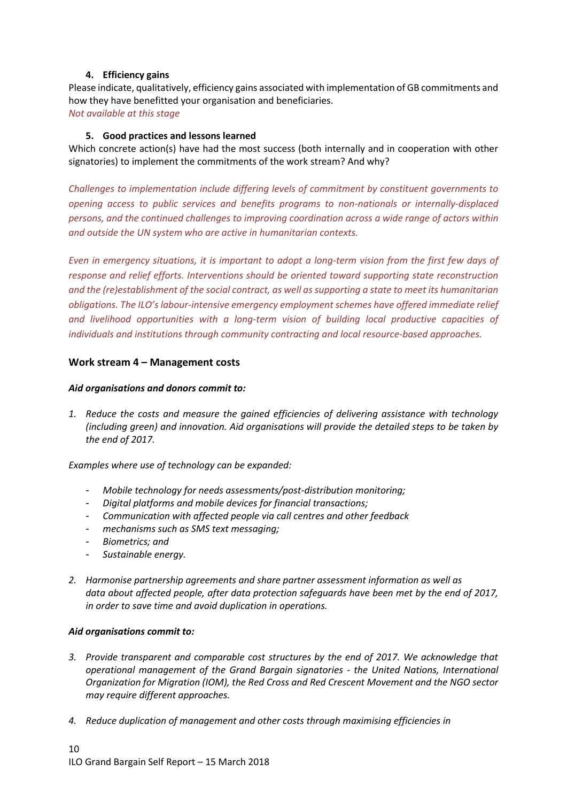## **4. Efficiency gains**

<span id="page-9-0"></span>Please indicate, qualitatively, efficiency gains associated with implementation of GB commitments and how they have benefitted your organisation and beneficiaries. *Not available at this stage*

#### <span id="page-9-1"></span>**5. Good practices and lessons learned**

Which concrete action(s) have had the most success (both internally and in cooperation with other signatories) to implement the commitments of the work stream? And why?

*Challenges to implementation include differing levels of commitment by constituent governments to opening access to public services and benefits programs to non-nationals or internally-displaced persons, and the continued challenges to improving coordination across a wide range of actors within and outside the UN system who are active in humanitarian contexts.*

*Even in emergency situations, it is important to adopt a long-term vision from the first few days of response and relief efforts. Interventions should be oriented toward supporting state reconstruction and the (re)establishment of the social contract, as well as supporting a state to meet its humanitarian obligations. The ILO's labour-intensive emergency employment schemes have offered immediate relief and livelihood opportunities with a long-term vision of building local productive capacities of individuals and institutions through community contracting and local resource-based approaches.* 

#### <span id="page-9-2"></span>**Work stream 4 – Management costs**

#### *Aid organisations and donors commit to:*

*1. Reduce the costs and measure the gained efficiencies of delivering assistance with technology (including green) and innovation. Aid organisations will provide the detailed steps to be taken by the end of 2017.*

*Examples where use of technology can be expanded:*

- *Mobile technology for needs assessments/post-distribution monitoring;*
- *Digital platforms and mobile devices for financial transactions;*
- *Communication with affected people via call centres and other feedback*
- *mechanisms such as SMS text messaging;*
- *Biometrics; and*
- *Sustainable energy.*
- *2. Harmonise partnership agreements and share partner assessment information as well as data about affected people, after data protection safeguards have been met by the end of 2017, in order to save time and avoid duplication in operations.*

#### *Aid organisations commit to:*

- *3. Provide transparent and comparable cost structures by the end of 2017. We acknowledge that operational management of the Grand Bargain signatories - the United Nations, International Organization for Migration (IOM), the Red Cross and Red Crescent Movement and the NGO sector may require different approaches.*
- *4. Reduce duplication of management and other costs through maximising efficiencies in*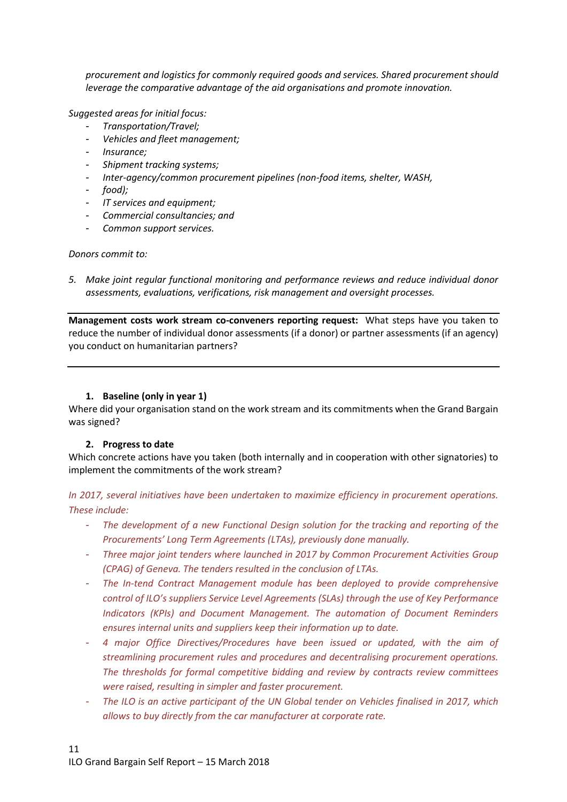*procurement and logistics for commonly required goods and services. Shared procurement should leverage the comparative advantage of the aid organisations and promote innovation.*

*Suggested areas for initial focus:*

- *Transportation/Travel;*
- *Vehicles and fleet management;*
- *Insurance;*
- *Shipment tracking systems;*
- *Inter-agency/common procurement pipelines (non-food items, shelter, WASH,*
- *food);*
- *IT services and equipment;*
- *Commercial consultancies; and*
- *Common support services.*

#### *Donors commit to:*

*5. Make joint regular functional monitoring and performance reviews and reduce individual donor assessments, evaluations, verifications, risk management and oversight processes.*

**Management costs work stream co-conveners reporting request:** What steps have you taken to reduce the number of individual donor assessments (if a donor) or partner assessments (if an agency) you conduct on humanitarian partners?

#### <span id="page-10-0"></span>**1. Baseline (only in year 1)**

Where did your organisation stand on the work stream and its commitments when the Grand Bargain was signed?

#### <span id="page-10-1"></span>**2. Progress to date**

Which concrete actions have you taken (both internally and in cooperation with other signatories) to implement the commitments of the work stream?

*In 2017, several initiatives have been undertaken to maximize efficiency in procurement operations. These include:*

- *The development of a new Functional Design solution for the tracking and reporting of the Procurements' Long Term Agreements (LTAs), previously done manually.*
- *Three major joint tenders where launched in 2017 by Common Procurement Activities Group (CPAG) of Geneva. The tenders resulted in the conclusion of LTAs.*
- *The In-tend Contract Management module has been deployed to provide comprehensive control of ILO's suppliers Service Level Agreements (SLAs) through the use of Key Performance Indicators (KPIs) and Document Management. The automation of Document Reminders ensures internal units and suppliers keep their information up to date.*
- *4 major Office Directives/Procedures have been issued or updated, with the aim of streamlining procurement rules and procedures and decentralising procurement operations. The thresholds for formal competitive bidding and review by contracts review committees were raised, resulting in simpler and faster procurement.*
- *The ILO is an active participant of the UN Global tender on Vehicles finalised in 2017, which allows to buy directly from the car manufacturer at corporate rate.*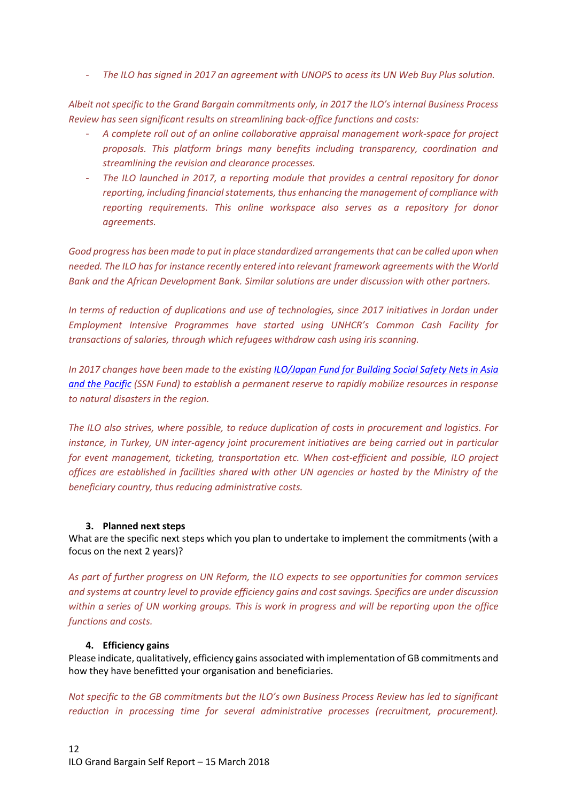- *The ILO has signed in 2017 an agreement with UNOPS to acess its UN Web Buy Plus solution.*

*Albeit not specific to the Grand Bargain commitments only, in 2017 the ILO's internal Business Process Review has seen significant results on streamlining back-office functions and costs:*

- *A complete roll out of an online collaborative appraisal management work-space for project proposals. This platform brings many benefits including transparency, coordination and streamlining the revision and clearance processes.*
- *The ILO launched in 2017, a reporting module that provides a central repository for donor reporting, including financial statements, thus enhancing the management of compliance with reporting requirements. This online workspace also serves as a repository for donor agreements.*

Good progress has been made to put in place standardized arrangements that can be called upon when *needed. The ILO has for instance recently entered into relevant framework agreements with the World Bank and the African Development Bank. Similar solutions are under discussion with other partners.*

*In terms of reduction of duplications and use of technologies, since 2017 initiatives in Jordan under Employment Intensive Programmes have started using UNHCR's Common Cash Facility for transactions of salaries, through which refugees withdraw cash using iris scanning.*

*In 2017 changes have been made to the existin[g ILO/Japan Fund for Building Social Safety Nets in Asia](http://www.ilo.org/asia/projects/WCMS_406761/lang--en/index.htm)  [and the Pacific](http://www.ilo.org/asia/projects/WCMS_406761/lang--en/index.htm) (SSN Fund) to establish a permanent reserve to rapidly mobilize resources in response to natural disasters in the region.*

*The ILO also strives, where possible, to reduce duplication of costs in procurement and logistics. For instance, in Turkey, UN inter-agency joint procurement initiatives are being carried out in particular for event management, ticketing, transportation etc. When cost-efficient and possible, ILO project offices are established in facilities shared with other UN agencies or hosted by the Ministry of the beneficiary country, thus reducing administrative costs.*

## <span id="page-11-0"></span>**3. Planned next steps**

What are the specific next steps which you plan to undertake to implement the commitments (with a focus on the next 2 years)?

*As part of further progress on UN Reform, the ILO expects to see opportunities for common services and systems at country level to provide efficiency gains and cost savings. Specifics are under discussion within a series of UN working groups. This is work in progress and will be reporting upon the office functions and costs.*

#### <span id="page-11-1"></span>**4. Efficiency gains**

Please indicate, qualitatively, efficiency gains associated with implementation of GB commitments and how they have benefitted your organisation and beneficiaries.

*Not specific to the GB commitments but the ILO's own Business Process Review has led to significant reduction in processing time for several administrative processes (recruitment, procurement).*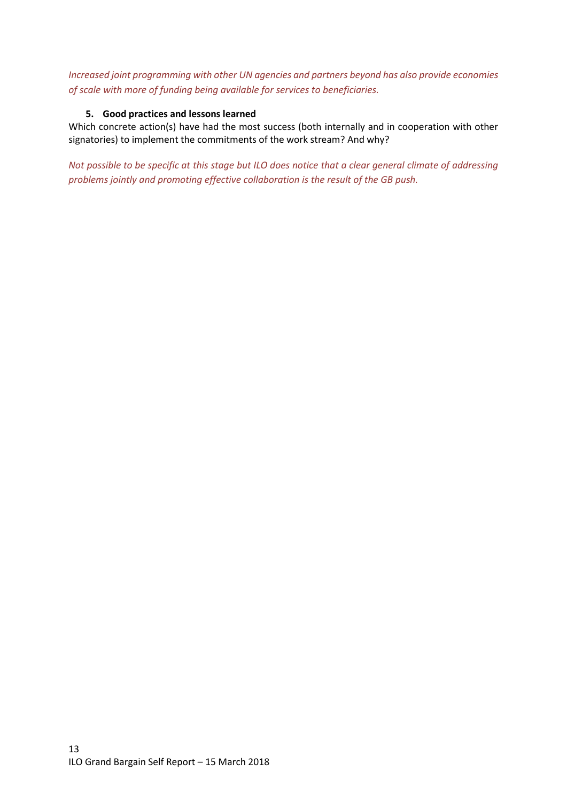*Increased joint programming with other UN agencies and partners beyond has also provide economies of scale with more of funding being available for services to beneficiaries.* 

## <span id="page-12-0"></span>**5. Good practices and lessons learned**

Which concrete action(s) have had the most success (both internally and in cooperation with other signatories) to implement the commitments of the work stream? And why?

*Not possible to be specific at this stage but ILO does notice that a clear general climate of addressing problems jointly and promoting effective collaboration is the result of the GB push.*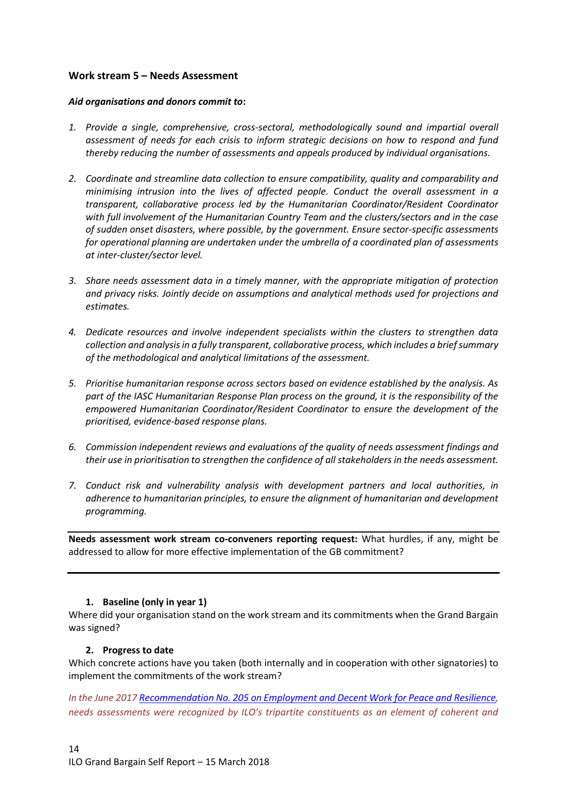## <span id="page-13-0"></span>**Work stream 5 – Needs Assessment**

#### *Aid organisations and donors commit to***:**

- *1. Provide a single, comprehensive, cross-sectoral, methodologically sound and impartial overall assessment of needs for each crisis to inform strategic decisions on how to respond and fund thereby reducing the number of assessments and appeals produced by individual organisations.*
- *2. Coordinate and streamline data collection to ensure compatibility, quality and comparability and minimising intrusion into the lives of affected people. Conduct the overall assessment in a transparent, collaborative process led by the Humanitarian Coordinator/Resident Coordinator with full involvement of the Humanitarian Country Team and the clusters/sectors and in the case of sudden onset disasters, where possible, by the government. Ensure sector-specific assessments for operational planning are undertaken under the umbrella of a coordinated plan of assessments at inter-cluster/sector level.*
- *3. Share needs assessment data in a timely manner, with the appropriate mitigation of protection and privacy risks. Jointly decide on assumptions and analytical methods used for projections and estimates.*
- *4. Dedicate resources and involve independent specialists within the clusters to strengthen data collection and analysis in a fully transparent, collaborative process, which includes a brief summary of the methodological and analytical limitations of the assessment.*
- *5. Prioritise humanitarian response across sectors based on evidence established by the analysis. As part of the IASC Humanitarian Response Plan process on the ground, it is the responsibility of the empowered Humanitarian Coordinator/Resident Coordinator to ensure the development of the prioritised, evidence-based response plans.*
- *6. Commission independent reviews and evaluations of the quality of needs assessment findings and their use in prioritisation to strengthen the confidence of all stakeholders in the needs assessment.*
- *7. Conduct risk and vulnerability analysis with development partners and local authorities, in adherence to humanitarian principles, to ensure the alignment of humanitarian and development programming.*

**Needs assessment work stream co-conveners reporting request:** What hurdles, if any, might be addressed to allow for more effective implementation of the GB commitment?

## <span id="page-13-1"></span>**1. Baseline (only in year 1)**

Where did your organisation stand on the work stream and its commitments when the Grand Bargain was signed?

## <span id="page-13-2"></span>**2. Progress to date**

Which concrete actions have you taken (both internally and in cooperation with other signatories) to implement the commitments of the work stream?

*In the June 2017 [Recommendation No. 205 on Employment and Decent Work for Peace and Resilience,](http://www.ilo.org/dyn/normlex/en/f?p=NORMLEXPUB:12100:0::NO::P12100_ILO_CODE:R205) needs assessments were recognized by ILO's tripartite constituents as an element of coherent and*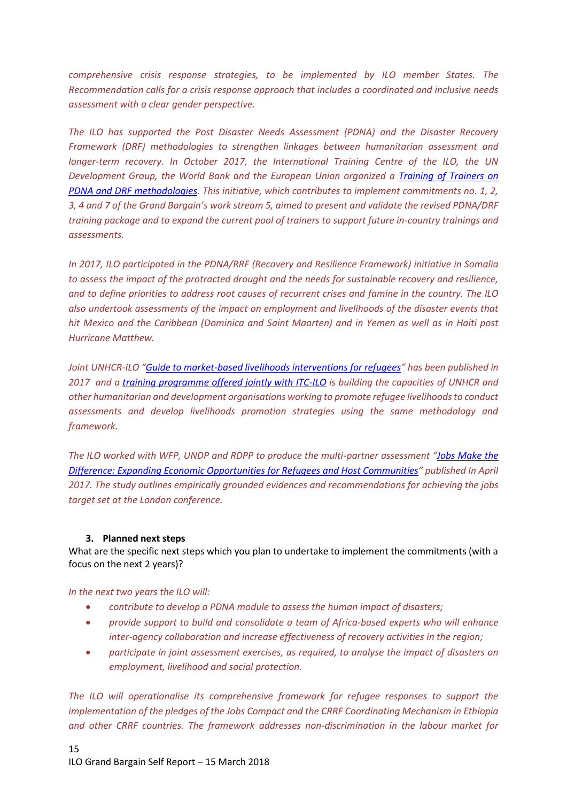*comprehensive crisis response strategies, to be implemented by ILO member States. The Recommendation calls for a crisis response approach that includes a coordinated and inclusive needs assessment with a clear gender perspective.*

*The ILO has supported the Post Disaster Needs Assessment (PDNA) and the Disaster Recovery Framework (DRF) methodologies to strengthen linkages between humanitarian assessment and longer-term recovery. In October 2017, the International Training Centre of the ILO, the UN Development Group, the World Bank and the European Union organized a [Training of Trainers on](http://www.itcilo.org/en/areas-of-expertise/enterprise-development/post-disaster-needs-assessment-and-disaster)  PDNA and DRF [methodologies.](http://www.itcilo.org/en/areas-of-expertise/enterprise-development/post-disaster-needs-assessment-and-disaster) This initiative, which contributes to implement commitments no. 1, 2, 3, 4 and 7 of the Grand Bargain's work stream 5, aimed to present and validate the revised PDNA/DRF training package and to expand the current pool of trainers to support future in-country trainings and assessments.* 

*In 2017, ILO participated in the PDNA/RRF (Recovery and Resilience Framework) initiative in Somalia to assess the impact of the protracted drought and the needs for sustainable recovery and resilience, and to define priorities to address root causes of recurrent crises and famine in the country. The ILO also undertook assessments of the impact on employment and livelihoods of the disaster events that hit Mexico and the Caribbean (Dominica and Saint Maarten) and in Yemen as well as in Haiti post Hurricane Matthew.*

*Joint UNHCR-ILO "[Guide to market-based livelihoods interventions for refugees](http://www.unhcr.org/594b7d7f7.pdf)" has been published in 2017 and a [training programme offered jointly with ITC-ILO](http://www.itcilo.org/en/areas-of-expertise/enterprise-development/market-based-livelihood-interventions-for-refugees) is building the capacities of UNHCR and other humanitarian and development organisations working to promote refugee livelihoods to conduct assessments and develop livelihoods promotion strategies using the same methodology and framework.*

*The ILO worked with WFP, UNDP and RDPP to produce the multi-partner assessment "[Jobs Make the](https://www.jobsmakethedifference.org/)  [Difference: Expanding Economic Opportunities for Refugees and Host Communities](https://www.jobsmakethedifference.org/)" published In April 2017. The study outlines empirically grounded evidences and recommendations for achieving the jobs target set at the London conference.*

## <span id="page-14-0"></span>**3. Planned next steps**

What are the specific next steps which you plan to undertake to implement the commitments (with a focus on the next 2 years)?

*In the next two years the ILO will:*

- *contribute to develop a PDNA module to assess the human impact of disasters;*
- *provide support to build and consolidate a team of Africa-based experts who will enhance inter-agency collaboration and increase effectiveness of recovery activities in the region;*
- *participate in joint assessment exercises, as required, to analyse the impact of disasters on employment, livelihood and social protection.*

*The ILO will operationalise its comprehensive framework for refugee responses to support the implementation of the pledges of the Jobs Compact and the CRRF Coordinating Mechanism in Ethiopia and other CRRF countries. The framework addresses non-discrimination in the labour market for*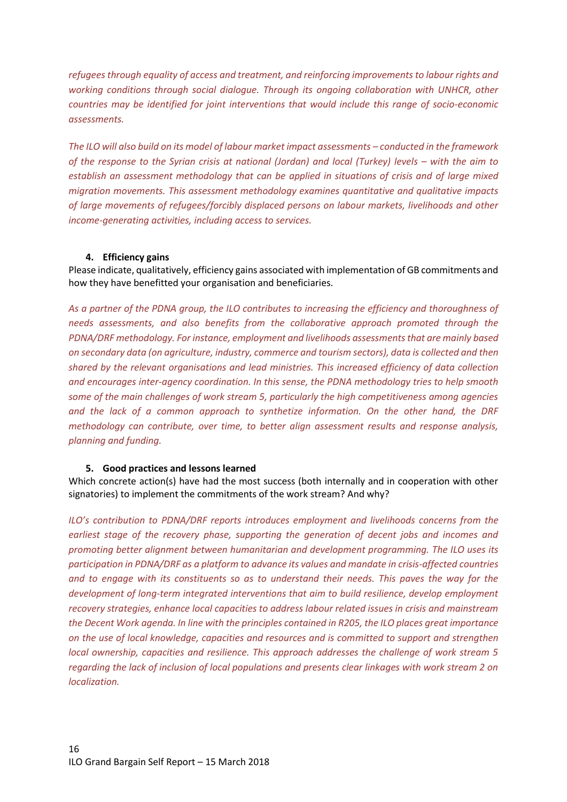*refugees through equality of access and treatment, and reinforcing improvements to labour rights and working conditions through social dialogue. Through its ongoing collaboration with UNHCR, other countries may be identified for joint interventions that would include this range of socio-economic assessments.*

*The ILO will also build on its model of labour market impact assessments – conducted in the framework of the response to the Syrian crisis at national (Jordan) and local (Turkey) levels – with the aim to establish an assessment methodology that can be applied in situations of crisis and of large mixed migration movements. This assessment methodology examines quantitative and qualitative impacts of large movements of refugees/forcibly displaced persons on labour markets, livelihoods and other income-generating activities, including access to services.* 

#### <span id="page-15-0"></span>**4. Efficiency gains**

Please indicate, qualitatively, efficiency gains associated with implementation of GB commitments and how they have benefitted your organisation and beneficiaries.

*As a partner of the PDNA group, the ILO contributes to increasing the efficiency and thoroughness of needs assessments, and also benefits from the collaborative approach promoted through the PDNA/DRF methodology. For instance, employment and livelihoods assessments that are mainly based on secondary data (on agriculture, industry, commerce and tourism sectors), data is collected and then shared by the relevant organisations and lead ministries. This increased efficiency of data collection and encourages inter-agency coordination. In this sense, the PDNA methodology tries to help smooth some of the main challenges of work stream 5, particularly the high competitiveness among agencies and the lack of a common approach to synthetize information. On the other hand, the DRF methodology can contribute, over time, to better align assessment results and response analysis, planning and funding.*

#### **5. Good practices and lessons learned**

<span id="page-15-1"></span>Which concrete action(s) have had the most success (both internally and in cooperation with other signatories) to implement the commitments of the work stream? And why?

*ILO's contribution to PDNA/DRF reports introduces employment and livelihoods concerns from the earliest stage of the recovery phase, supporting the generation of decent jobs and incomes and promoting better alignment between humanitarian and development programming. The ILO uses its participation in PDNA/DRF as a platform to advance its values and mandate in crisis-affected countries and to engage with its constituents so as to understand their needs. This paves the way for the development of long-term integrated interventions that aim to build resilience, develop employment recovery strategies, enhance local capacities to address labour related issues in crisis and mainstream the Decent Work agenda. In line with the principles contained in R205, the ILO places great importance on the use of local knowledge, capacities and resources and is committed to support and strengthen local ownership, capacities and resilience. This approach addresses the challenge of work stream 5 regarding the lack of inclusion of local populations and presents clear linkages with work stream 2 on localization.*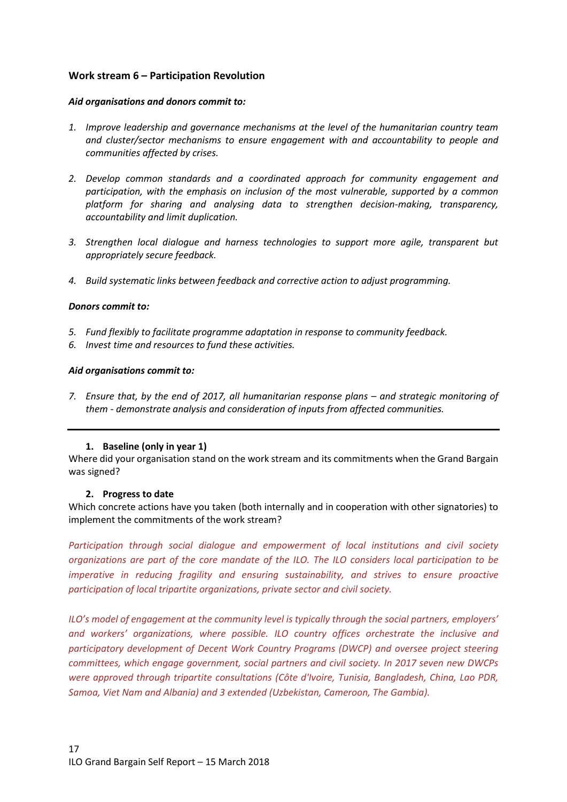# <span id="page-16-0"></span>**Work stream 6 – Participation Revolution**

#### *Aid organisations and donors commit to:*

- *1. Improve leadership and governance mechanisms at the level of the humanitarian country team and cluster/sector mechanisms to ensure engagement with and accountability to people and communities affected by crises.*
- *2. Develop common standards and a coordinated approach for community engagement and participation, with the emphasis on inclusion of the most vulnerable, supported by a common platform for sharing and analysing data to strengthen decision-making, transparency, accountability and limit duplication.*
- *3. Strengthen local dialogue and harness technologies to support more agile, transparent but appropriately secure feedback.*
- *4. Build systematic links between feedback and corrective action to adjust programming.*

#### *Donors commit to:*

- *5. Fund flexibly to facilitate programme adaptation in response to community feedback.*
- *6. Invest time and resources to fund these activities.*

#### *Aid organisations commit to:*

*7.* Ensure that, by the end of 2017, all humanitarian response plans – and strategic monitoring of *them - demonstrate analysis and consideration of inputs from affected communities.*

## <span id="page-16-1"></span>**1. Baseline (only in year 1)**

Where did your organisation stand on the work stream and its commitments when the Grand Bargain was signed?

#### <span id="page-16-2"></span>**2. Progress to date**

Which concrete actions have you taken (both internally and in cooperation with other signatories) to implement the commitments of the work stream?

*Participation through social dialogue and empowerment of local institutions and civil society organizations are part of the core mandate of the ILO. The ILO considers local participation to be imperative in reducing fragility and ensuring sustainability, and strives to ensure proactive participation of local tripartite organizations, private sector and civil society.* 

*ILO's model of engagement at the community level is typically through the social partners, employers' and workers' organizations, where possible. ILO country offices orchestrate the inclusive and participatory development of Decent Work Country Programs (DWCP) and oversee project steering committees, which engage government, social partners and civil society. In 2017 seven new DWCPs were approved through tripartite consultations (Côte d'Ivoire, Tunisia, Bangladesh, China, Lao PDR, Samoa, Viet Nam and Albania) and 3 extended (Uzbekistan, Cameroon, The Gambia).*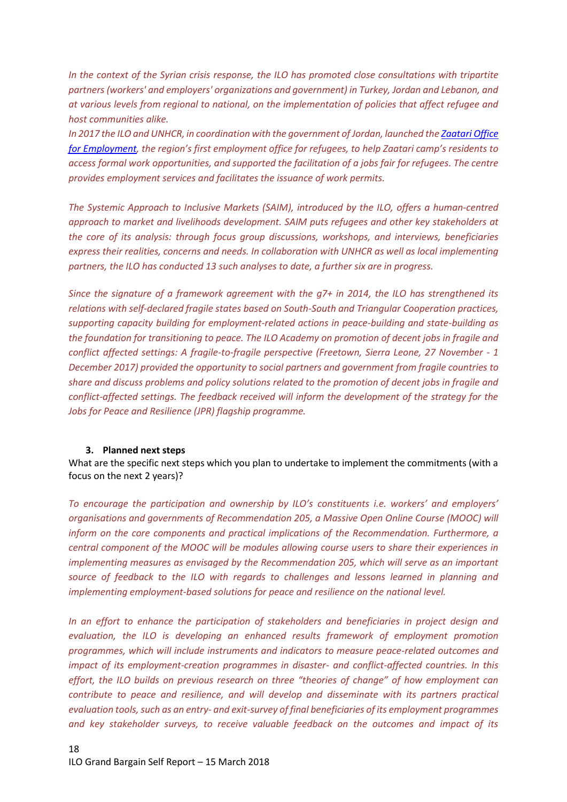*In the context of the Syrian crisis response, the ILO has promoted close consultations with tripartite partners (workers' and employers' organizations and government) in Turkey, Jordan and Lebanon, and at various levels from regional to national, on the implementation of policies that affect refugee and host communities alike.* 

*In 2017 the ILO and UNHCR, in coordination with the government of Jordan, launched th[e Zaatari Office](http://www.ilo.org/beirut/media-centre/news/WCMS_570884/lang--en/index.htm)  [for Employment](http://www.ilo.org/beirut/media-centre/news/WCMS_570884/lang--en/index.htm), the region's first employment office for refugees, to help Zaatari camp's residents to access formal work opportunities, and supported the facilitation of a jobs fair for refugees. The centre provides employment services and facilitates the issuance of work permits.* 

*The Systemic Approach to Inclusive Markets (SAIM), introduced by the ILO, offers a human-centred approach to market and livelihoods development. SAIM puts refugees and other key stakeholders at the core of its analysis: through focus group discussions, workshops, and interviews, beneficiaries express their realities, concerns and needs. In collaboration with UNHCR as well as local implementing partners, the ILO has conducted 13 such analyses to date, a further six are in progress.*

*Since the signature of a framework agreement with the g7+ in 2014, the ILO has strengthened its relations with self-declared fragile states based on South-South and Triangular Cooperation practices, supporting capacity building for employment-related actions in peace-building and state-building as the foundation for transitioning to peace. The ILO Academy on promotion of decent jobs in fragile and conflict affected settings: A fragile-to-fragile perspective (Freetown, Sierra Leone, 27 November - 1 December 2017) provided the opportunity to social partners and government from fragile countries to share and discuss problems and policy solutions related to the promotion of decent jobs in fragile and conflict-affected settings. The feedback received will inform the development of the strategy for the Jobs for Peace and Resilience (JPR) flagship programme.*

#### <span id="page-17-0"></span>**3. Planned next steps**

What are the specific next steps which you plan to undertake to implement the commitments (with a focus on the next 2 years)?

*To encourage the participation and ownership by ILO's constituents i.e. workers' and employers' organisations and governments of Recommendation 205, a Massive Open Online Course (MOOC) will inform on the core components and practical implications of the Recommendation. Furthermore, a central component of the MOOC will be modules allowing course users to share their experiences in implementing measures as envisaged by the Recommendation 205, which will serve as an important source of feedback to the ILO with regards to challenges and lessons learned in planning and implementing employment-based solutions for peace and resilience on the national level.*

*In an effort to enhance the participation of stakeholders and beneficiaries in project design and evaluation, the ILO is developing an enhanced results framework of employment promotion programmes, which will include instruments and indicators to measure peace-related outcomes and impact of its employment-creation programmes in disaster- and conflict-affected countries. In this effort, the ILO builds on previous research on three "theories of change" of how employment can contribute to peace and resilience, and will develop and disseminate with its partners practical evaluation tools, such as an entry- and exit-survey of final beneficiaries of its employment programmes and key stakeholder surveys, to receive valuable feedback on the outcomes and impact of its*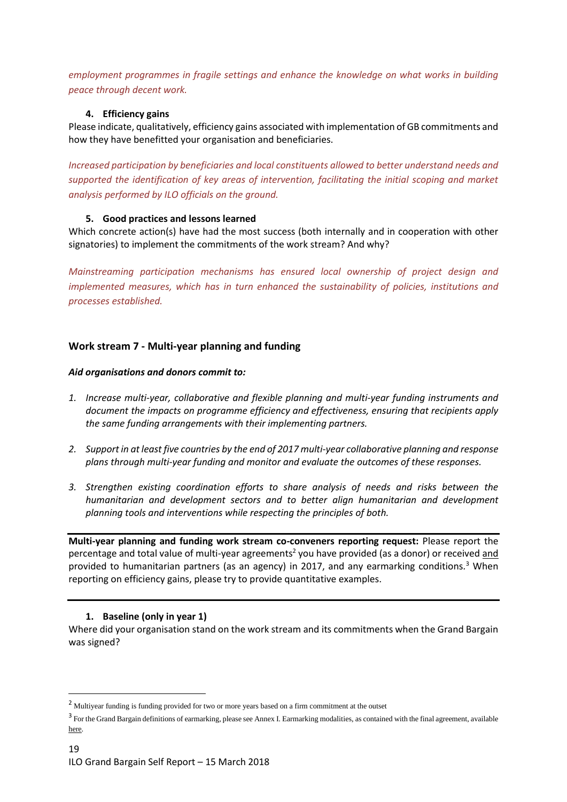*employment programmes in fragile settings and enhance the knowledge on what works in building peace through decent work.*

## <span id="page-18-0"></span>**4. Efficiency gains**

Please indicate, qualitatively, efficiency gains associated with implementation of GB commitments and how they have benefitted your organisation and beneficiaries.

*Increased participation by beneficiaries and local constituents allowed to better understand needs and supported the identification of key areas of intervention, facilitating the initial scoping and market analysis performed by ILO officials on the ground.*

# <span id="page-18-1"></span>**5. Good practices and lessons learned**

Which concrete action(s) have had the most success (both internally and in cooperation with other signatories) to implement the commitments of the work stream? And why?

*Mainstreaming participation mechanisms has ensured local ownership of project design and implemented measures, which has in turn enhanced the sustainability of policies, institutions and processes established.*

# <span id="page-18-2"></span>**Work stream 7 - Multi-year planning and funding**

#### *Aid organisations and donors commit to:*

- *1. Increase multi-year, collaborative and flexible planning and multi-year funding instruments and document the impacts on programme efficiency and effectiveness, ensuring that recipients apply the same funding arrangements with their implementing partners.*
- *2. Support in at least five countries by the end of 2017 multi-year collaborative planning and response plans through multi-year funding and monitor and evaluate the outcomes of these responses.*
- *3. Strengthen existing coordination efforts to share analysis of needs and risks between the humanitarian and development sectors and to better align humanitarian and development planning tools and interventions while respecting the principles of both.*

**Multi-year planning and funding work stream co-conveners reporting request:** Please report the percentage and total value of multi-year agreements<sup>2</sup> you have provided (as a donor) or received and provided to humanitarian partners (as an agency) in 2017, and any earmarking conditions*.* <sup>3</sup> When reporting on efficiency gains, please try to provide quantitative examples.

## <span id="page-18-3"></span>**1. Baseline (only in year 1)**

**.** 

Where did your organisation stand on the work stream and its commitments when the Grand Bargain was signed?

<sup>2</sup> Multiyear funding is funding provided for two or more years based on a firm commitment at the outset

<sup>&</sup>lt;sup>3</sup> For the Grand Bargain definitions of earmarking, please see Annex I. Earmarking modalities, as contained with the final agreement, available [here.](https://interagencystandingcommittee.org/grand-bargain-hosted-iasc/documents/grand-bargain-shared-commitment-better-serve-people-need)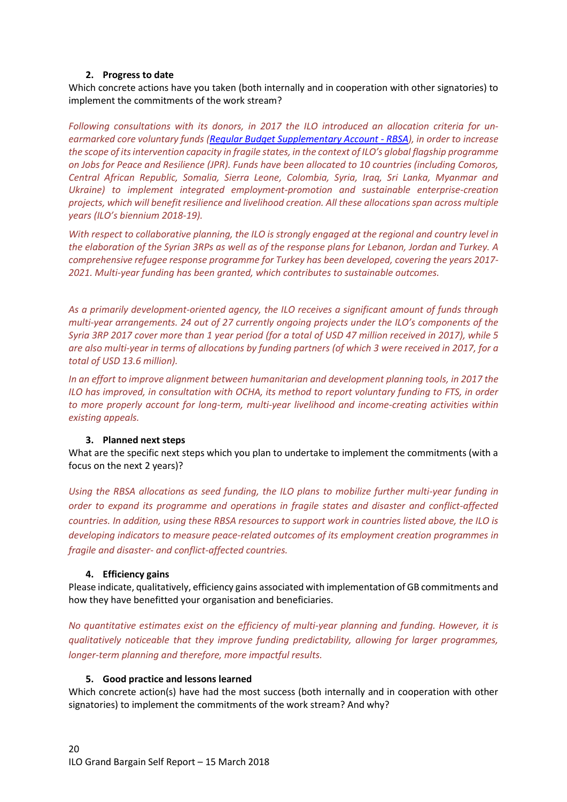#### **2. Progress to date**

<span id="page-19-0"></span>Which concrete actions have you taken (both internally and in cooperation with other signatories) to implement the commitments of the work stream?

*Following consultations with its donors, in 2017 the ILO introduced an allocation criteria for unearmarked core voluntary funds [\(Regular Budget Supplementary Account -](http://www.ilo.org/pardev/donors/rbsa/lang--en/index.htm) RBSA), in order to increase the scope of its intervention capacity in fragile states, in the context of ILO's global flagship programme on Jobs for Peace and Resilience (JPR). Funds have been allocated to 10 countries (including Comoros, Central African Republic, Somalia, Sierra Leone, Colombia, Syria, Iraq, Sri Lanka, Myanmar and Ukraine) to implement integrated employment-promotion and sustainable enterprise-creation projects, which will benefit resilience and livelihood creation. All these allocations span across multiple years (ILO's biennium 2018-19).*

*With respect to collaborative planning, the ILO is strongly engaged at the regional and country level in the elaboration of the Syrian 3RPs as well as of the response plans for Lebanon, Jordan and Turkey. A comprehensive refugee response programme for Turkey has been developed, covering the years 2017- 2021. Multi-year funding has been granted, which contributes to sustainable outcomes.*

*As a primarily development-oriented agency, the ILO receives a significant amount of funds through multi-year arrangements. 24 out of 27 currently ongoing projects under the ILO's components of the Syria 3RP 2017 cover more than 1 year period (for a total of USD 47 million received in 2017), while 5 are also multi-year in terms of allocations by funding partners (of which 3 were received in 2017, for a total of USD 13.6 million).*

*In an effort to improve alignment between humanitarian and development planning tools, in 2017 the ILO has improved, in consultation with OCHA, its method to report voluntary funding to FTS, in order to more properly account for long-term, multi-year livelihood and income-creating activities within existing appeals.*

## **3. Planned next steps**

<span id="page-19-1"></span>What are the specific next steps which you plan to undertake to implement the commitments (with a focus on the next 2 years)?

*Using the RBSA allocations as seed funding, the ILO plans to mobilize further multi-year funding in order to expand its programme and operations in fragile states and disaster and conflict-affected countries. In addition, using these RBSA resources to support work in countries listed above, the ILO is developing indicators to measure peace-related outcomes of its employment creation programmes in fragile and disaster- and conflict-affected countries.*

## <span id="page-19-2"></span>**4. Efficiency gains**

Please indicate, qualitatively, efficiency gains associated with implementation of GB commitments and how they have benefitted your organisation and beneficiaries.

*No quantitative estimates exist on the efficiency of multi-year planning and funding. However, it is qualitatively noticeable that they improve funding predictability, allowing for larger programmes, longer-term planning and therefore, more impactful results.* 

#### <span id="page-19-3"></span>**5. Good practice and lessons learned**

Which concrete action(s) have had the most success (both internally and in cooperation with other signatories) to implement the commitments of the work stream? And why?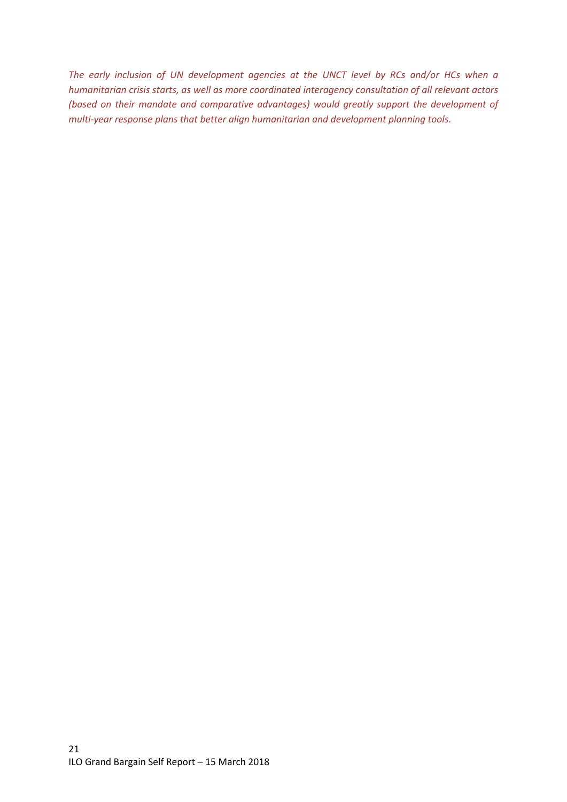*The early inclusion of UN development agencies at the UNCT level by RCs and/or HCs when a humanitarian crisis starts, as well as more coordinated interagency consultation of all relevant actors (based on their mandate and comparative advantages) would greatly support the development of multi-year response plans that better align humanitarian and development planning tools.*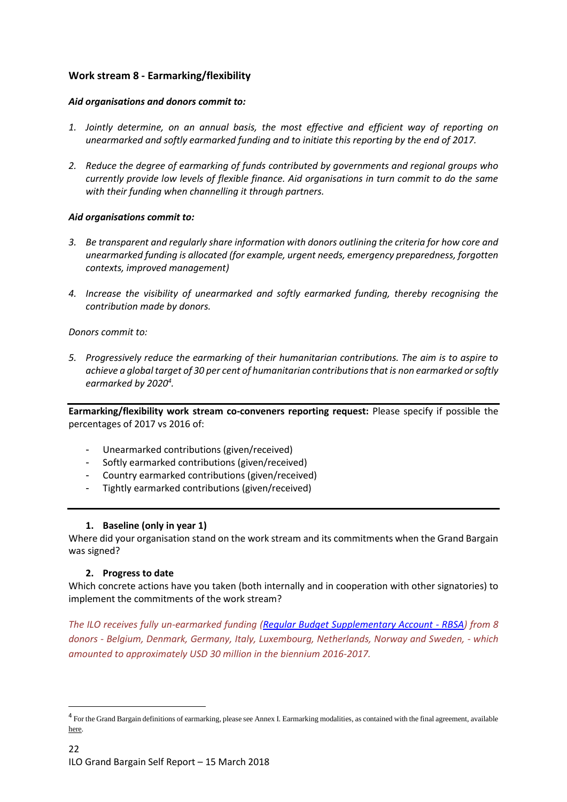# <span id="page-21-0"></span>**Work stream 8 - Earmarking/flexibility**

## *Aid organisations and donors commit to:*

- *1. Jointly determine, on an annual basis, the most effective and efficient way of reporting on unearmarked and softly earmarked funding and to initiate this reporting by the end of 2017.*
- *2. Reduce the degree of earmarking of funds contributed by governments and regional groups who currently provide low levels of flexible finance. Aid organisations in turn commit to do the same with their funding when channelling it through partners.*

## *Aid organisations commit to:*

- *3. Be transparent and regularly share information with donors outlining the criteria for how core and unearmarked funding is allocated (for example, urgent needs, emergency preparedness, forgotten contexts, improved management)*
- *4. Increase the visibility of unearmarked and softly earmarked funding, thereby recognising the contribution made by donors.*

*Donors commit to:*

*5. Progressively reduce the earmarking of their humanitarian contributions. The aim is to aspire to achieve a global target of 30 per cent of humanitarian contributions that is non earmarked or softly earmarked by 2020<sup>4</sup> .*

**Earmarking/flexibility work stream co-conveners reporting request:** Please specify if possible the percentages of 2017 vs 2016 of:

- Unearmarked contributions (given/received)
- Softly earmarked contributions (given/received)
- Country earmarked contributions (given/received)
- Tightly earmarked contributions (given/received)

## <span id="page-21-1"></span>**1. Baseline (only in year 1)**

Where did your organisation stand on the work stream and its commitments when the Grand Bargain was signed?

## <span id="page-21-2"></span>**2. Progress to date**

**.** 

Which concrete actions have you taken (both internally and in cooperation with other signatories) to implement the commitments of the work stream?

*The ILO receives fully un-earmarked funding [\(Regular Budget Supplementary Account -](http://www.ilo.org/pardev/donors/rbsa/lang--en/index.htm) RBSA) from 8 donors - Belgium, Denmark, Germany, Italy, Luxembourg, Netherlands, Norway and Sweden, - which amounted to approximately USD 30 million in the biennium 2016-2017.*

<sup>&</sup>lt;sup>4</sup> For the Grand Bargain definitions of earmarking, please see Annex I. Earmarking modalities, as contained with the final agreement, available [here.](https://interagencystandingcommittee.org/grand-bargain-hosted-iasc/documents/grand-bargain-shared-commitment-better-serve-people-need)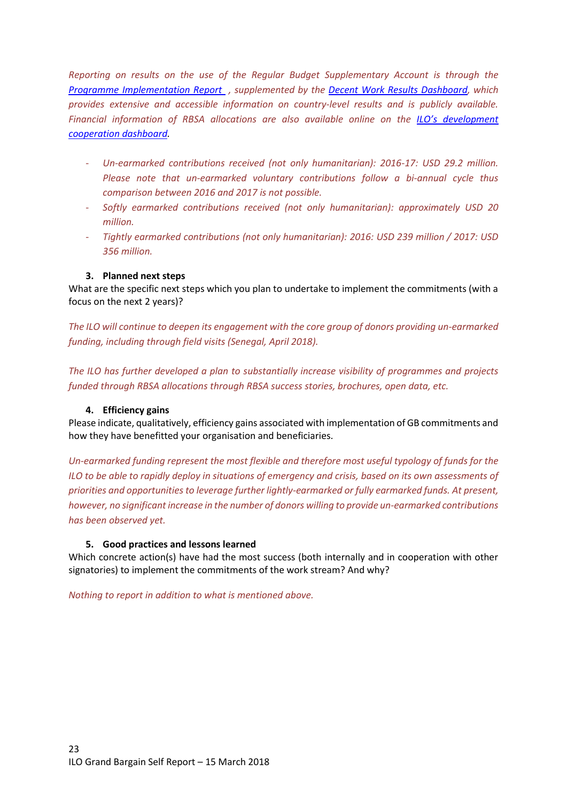*Reporting on results on the use of the Regular Budget Supplementary Account is through the [Programme Implementation Report](http://www.ilo.org/wcmsp5/groups/public/---ed_norm/---relconf/documents/meetingdocument/wcms_618128.pdf) , supplemented by the [Decent Work Results Dashboard,](http://www.ilo.org/IRDashboard/#azfoxn0) which provides extensive and accessible information on country-level results and is publicly available. Financial information of RBSA allocations are also available online on the [ILO's development](https://www.ilo.org/DevelopmentCooperationDashboard/#ainxid6)  [cooperation dashboard.](https://www.ilo.org/DevelopmentCooperationDashboard/#ainxid6)*

- *Un-earmarked contributions received (not only humanitarian): 2016-17: USD 29.2 million. Please note that un-earmarked voluntary contributions follow a bi-annual cycle thus comparison between 2016 and 2017 is not possible.*
- *Softly earmarked contributions received (not only humanitarian): approximately USD 20 million.*
- *Tightly earmarked contributions (not only humanitarian): 2016: USD 239 million / 2017: USD 356 million.*

## <span id="page-22-0"></span>**3. Planned next steps**

What are the specific next steps which you plan to undertake to implement the commitments (with a focus on the next 2 years)?

*The ILO will continue to deepen its engagement with the core group of donors providing un-earmarked funding, including through field visits (Senegal, April 2018).*

*The ILO has further developed a plan to substantially increase visibility of programmes and projects funded through RBSA allocations through RBSA success stories, brochures, open data, etc.* 

#### <span id="page-22-1"></span>**4. Efficiency gains**

Please indicate, qualitatively, efficiency gains associated with implementation of GB commitments and how they have benefitted your organisation and beneficiaries.

*Un-earmarked funding represent the most flexible and therefore most useful typology of funds for the ILO to be able to rapidly deploy in situations of emergency and crisis, based on its own assessments of priorities and opportunities to leverage further lightly-earmarked or fully earmarked funds. At present, however, no significant increase in the number of donors willing to provide un-earmarked contributions has been observed yet.*

#### <span id="page-22-2"></span>**5. Good practices and lessons learned**

Which concrete action(s) have had the most success (both internally and in cooperation with other signatories) to implement the commitments of the work stream? And why?

*Nothing to report in addition to what is mentioned above.*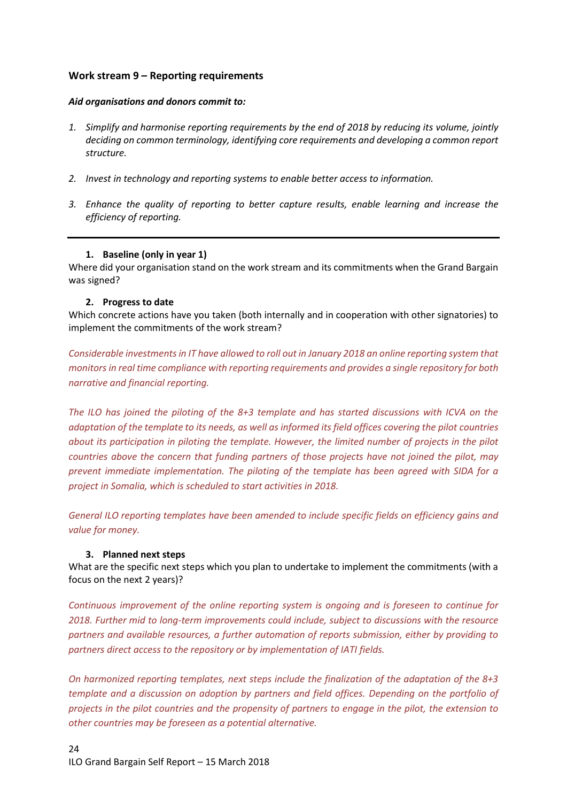# <span id="page-23-0"></span>**Work stream 9 – Reporting requirements**

#### *Aid organisations and donors commit to:*

- *1. Simplify and harmonise reporting requirements by the end of 2018 by reducing its volume, jointly deciding on common terminology, identifying core requirements and developing a common report structure.*
- *2. Invest in technology and reporting systems to enable better access to information.*
- *3. Enhance the quality of reporting to better capture results, enable learning and increase the efficiency of reporting.*

#### <span id="page-23-1"></span>**1. Baseline (only in year 1)**

Where did your organisation stand on the work stream and its commitments when the Grand Bargain was signed?

#### <span id="page-23-2"></span>**2. Progress to date**

Which concrete actions have you taken (both internally and in cooperation with other signatories) to implement the commitments of the work stream?

*Considerable investments in IT have allowed to roll out in January 2018 an online reporting system that monitors in real time compliance with reporting requirements and provides a single repository for both narrative and financial reporting.*

*The ILO has joined the piloting of the 8+3 template and has started discussions with ICVA on the adaptation of the template to its needs, as well as informed its field offices covering the pilot countries about its participation in piloting the template. However, the limited number of projects in the pilot countries above the concern that funding partners of those projects have not joined the pilot, may prevent immediate implementation. The piloting of the template has been agreed with SIDA for a project in Somalia, which is scheduled to start activities in 2018.*

*General ILO reporting templates have been amended to include specific fields on efficiency gains and value for money.*

## <span id="page-23-3"></span>**3. Planned next steps**

What are the specific next steps which you plan to undertake to implement the commitments (with a focus on the next 2 years)?

*Continuous improvement of the online reporting system is ongoing and is foreseen to continue for 2018. Further mid to long-term improvements could include, subject to discussions with the resource partners and available resources, a further automation of reports submission, either by providing to partners direct access to the repository or by implementation of IATI fields.*

*On harmonized reporting templates, next steps include the finalization of the adaptation of the 8+3 template and a discussion on adoption by partners and field offices. Depending on the portfolio of projects in the pilot countries and the propensity of partners to engage in the pilot, the extension to other countries may be foreseen as a potential alternative.*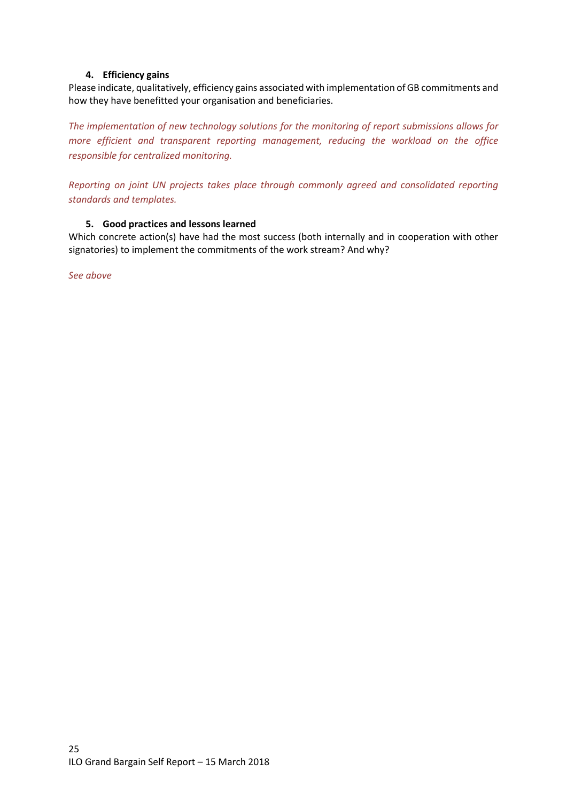## **4. Efficiency gains**

<span id="page-24-0"></span>Please indicate, qualitatively, efficiency gains associated with implementation of GB commitments and how they have benefitted your organisation and beneficiaries.

*The implementation of new technology solutions for the monitoring of report submissions allows for more efficient and transparent reporting management, reducing the workload on the office responsible for centralized monitoring.*

*Reporting on joint UN projects takes place through commonly agreed and consolidated reporting standards and templates.*

#### <span id="page-24-1"></span>**5. Good practices and lessons learned**

Which concrete action(s) have had the most success (both internally and in cooperation with other signatories) to implement the commitments of the work stream? And why?

*See above*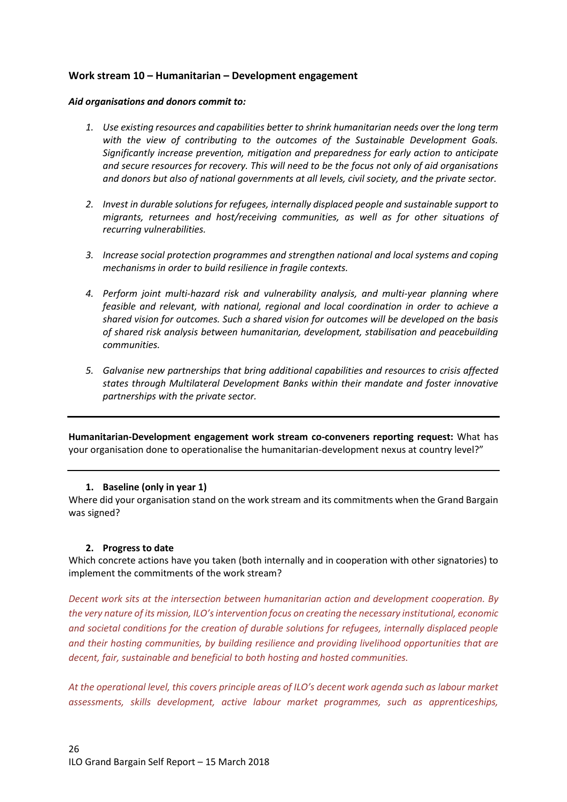## <span id="page-25-0"></span>**Work stream 10 – Humanitarian – Development engagement**

#### *Aid organisations and donors commit to:*

- *1. Use existing resources and capabilities better to shrink humanitarian needs over the long term with the view of contributing to the outcomes of the Sustainable Development Goals. Significantly increase prevention, mitigation and preparedness for early action to anticipate and secure resources for recovery. This will need to be the focus not only of aid organisations and donors but also of national governments at all levels, civil society, and the private sector.*
- *2. Invest in durable solutions for refugees, internally displaced people and sustainable support to migrants, returnees and host/receiving communities, as well as for other situations of recurring vulnerabilities.*
- *3. Increase social protection programmes and strengthen national and local systems and coping mechanisms in order to build resilience in fragile contexts.*
- *4. Perform joint multi-hazard risk and vulnerability analysis, and multi-year planning where feasible and relevant, with national, regional and local coordination in order to achieve a shared vision for outcomes. Such a shared vision for outcomes will be developed on the basis of shared risk analysis between humanitarian, development, stabilisation and peacebuilding communities.*
- *5. Galvanise new partnerships that bring additional capabilities and resources to crisis affected states through Multilateral Development Banks within their mandate and foster innovative partnerships with the private sector.*

**Humanitarian-Development engagement work stream co-conveners reporting request:** What has your organisation done to operationalise the humanitarian-development nexus at country level?"

#### <span id="page-25-1"></span>**1. Baseline (only in year 1)**

Where did your organisation stand on the work stream and its commitments when the Grand Bargain was signed?

## <span id="page-25-2"></span>**2. Progress to date**

Which concrete actions have you taken (both internally and in cooperation with other signatories) to implement the commitments of the work stream?

*Decent work sits at the intersection between humanitarian action and development cooperation. By the very nature of its mission, ILO's intervention focus on creating the necessary institutional, economic and societal conditions for the creation of durable solutions for refugees, internally displaced people and their hosting communities, by building resilience and providing livelihood opportunities that are decent, fair, sustainable and beneficial to both hosting and hosted communities.*

*At the operational level, this covers principle areas of ILO's decent work agenda such as labour market assessments, skills development, active labour market programmes, such as apprenticeships,*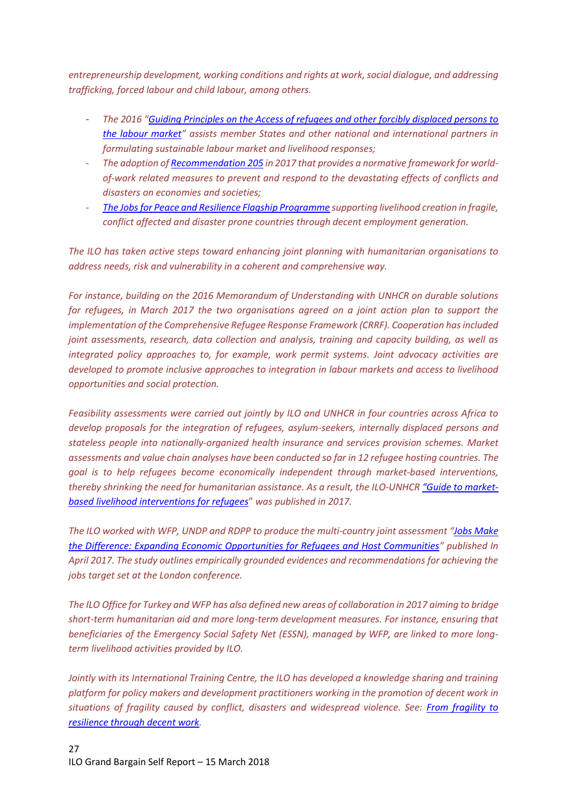*entrepreneurship development, working conditions and rights at work,social dialogue, and addressing trafficking, forced labour and child labour, among others.*

- *The 2016 "[Guiding Principles on the Access of refugees and other](http://www.ilo.org/wcmsp5/groups/public/@ed_protect/@protrav/@migrant/documents/genericdocument/wcms_536440.pdf) forcibly displaced persons to [the labour market](http://www.ilo.org/wcmsp5/groups/public/@ed_protect/@protrav/@migrant/documents/genericdocument/wcms_536440.pdf)" assists member States and other national and international partners in formulating sustainable labour market and livelihood responses;*
- *The adoption o[f Recommendation 205](http://www.ilo.org/dyn/normlex/en/f?p=NORMLEXPUB:12100:0::NO::P12100_ILO_CODE:R205) in 2017 that provides a normative framework for worldof-work related measures to prevent and respond to the devastating effects of conflicts and disasters on economies and societies;*
- *[The Jobs for Peace and Resilience Flagship Programme](http://www.ilo.ch/global/about-the-ilo/how-the-ilo-works/WCMS_495276/lang--en/index.htm) supporting livelihood creation in fragile, conflict affected and disaster prone countries through decent employment generation.*

*The ILO has taken active steps toward enhancing joint planning with humanitarian organisations to address needs, risk and vulnerability in a coherent and comprehensive way.* 

*For instance, building on the 2016 Memorandum of Understanding with UNHCR on durable solutions for refugees, in March 2017 the two organisations agreed on a joint action plan to support the implementation of the Comprehensive Refugee Response Framework (CRRF). Cooperation has included joint assessments, research, data collection and analysis, training and capacity building, as well as integrated policy approaches to, for example, work permit systems. Joint advocacy activities are developed to promote inclusive approaches to integration in labour markets and access to livelihood opportunities and social protection.*

*Feasibility assessments were carried out jointly by ILO and UNHCR in four countries across Africa to develop proposals for the integration of refugees, asylum-seekers, internally displaced persons and stateless people into nationally-organized health insurance and services provision schemes. Market assessments and value chain analyses have been conducted so far in 12 refugee hosting countries. The goal is to help refugees become economically independent through market-based interventions, thereby shrinking the need for humanitarian assistance. As a result, the ILO-UNHCR ["Guide to market](http://www.ilo.org/empent/areas/value-chain-development-vcd/WCMS_550036/lang--en/index.htm)[based livelihood interventions for refugees](http://www.ilo.org/empent/areas/value-chain-development-vcd/WCMS_550036/lang--en/index.htm)*" *was published in 2017.*

*The ILO worked with WFP, UNDP and RDPP to produce the multi-country joint assessment "[Jobs Make](https://www.jobsmakethedifference.org/)  [the Difference: Expanding Economic Opportunities for Refugees and Host Communities](https://www.jobsmakethedifference.org/)" published In April 2017. The study outlines empirically grounded evidences and recommendations for achieving the jobs target set at the London conference.*

*The ILO Office for Turkey and WFP has also defined new areas of collaboration in 2017 aiming to bridge short-term humanitarian aid and more long-term development measures. For instance, ensuring that beneficiaries of the Emergency Social Safety Net (ESSN), managed by WFP, are linked to more longterm livelihood activities provided by ILO.* 

*Jointly with its International Training Centre, the ILO has developed a knowledge sharing and training platform for policy makers and development practitioners working in the promotion of decent work in situations of fragility caused by conflict, disasters and widespread violence. See: [From fragility to](https://fragilestates.itcilo.org/promotion-of-decent-work-in-situations-of-fragility/)  [resilience through decent work.](https://fragilestates.itcilo.org/promotion-of-decent-work-in-situations-of-fragility/)*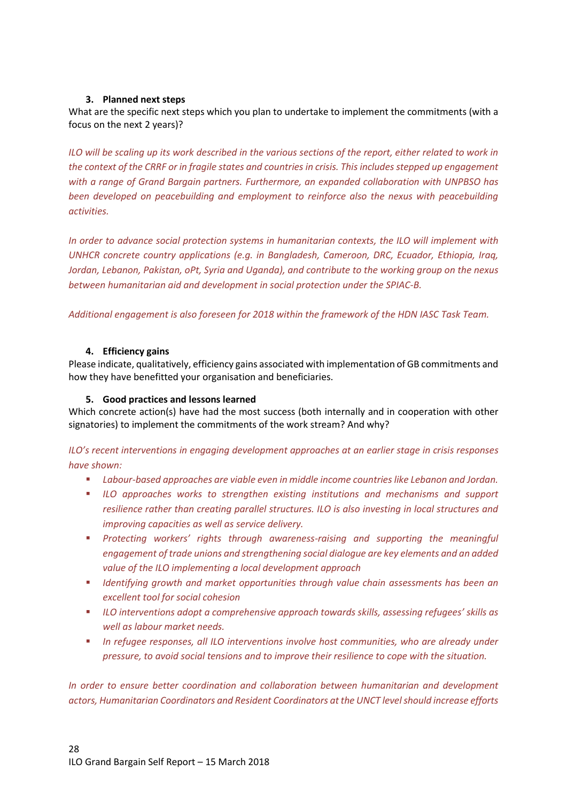## <span id="page-27-0"></span>**3. Planned next steps**

What are the specific next steps which you plan to undertake to implement the commitments (with a focus on the next 2 years)?

*ILO will be scaling up its work described in the various sections of the report, either related to work in the context of the CRRF or in fragile states and countries in crisis. This includes stepped up engagement with a range of Grand Bargain partners. Furthermore, an expanded collaboration with UNPBSO has been developed on peacebuilding and employment to reinforce also the nexus with peacebuilding activities.* 

*In order to advance social protection systems in humanitarian contexts, the ILO will implement with UNHCR concrete country applications (e.g. in Bangladesh, Cameroon, DRC, Ecuador, Ethiopia, Iraq, Jordan, Lebanon, Pakistan, oPt, Syria and Uganda), and contribute to the working group on the nexus between humanitarian aid and development in social protection under the SPIAC-B.*

*Additional engagement is also foreseen for 2018 within the framework of the HDN IASC Task Team.*

#### <span id="page-27-1"></span>**4. Efficiency gains**

Please indicate, qualitatively, efficiency gains associated with implementation of GB commitments and how they have benefitted your organisation and beneficiaries.

#### <span id="page-27-2"></span>**5. Good practices and lessons learned**

Which concrete action(s) have had the most success (both internally and in cooperation with other signatories) to implement the commitments of the work stream? And why?

*ILO's recent interventions in engaging development approaches at an earlier stage in crisis responses have shown:*

- *Labour-based approaches are viable even in middle income countries like Lebanon and Jordan.*
- *ILO approaches works to strengthen existing institutions and mechanisms and support resilience rather than creating parallel structures. ILO is also investing in local structures and improving capacities as well as service delivery.*
- *Protecting workers' rights through awareness-raising and supporting the meaningful engagement of trade unions and strengthening social dialogue are key elements and an added value of the ILO implementing a local development approach*
- *Identifying growth and market opportunities through value chain assessments has been an excellent tool for social cohesion*
- *ILO interventions adopt a comprehensive approach towards skills, assessing refugees' skills as well as labour market needs.*
- **I** In refugee responses, all ILO interventions involve host communities, who are already under *pressure, to avoid social tensions and to improve their resilience to cope with the situation.*

*In order to ensure better coordination and collaboration between humanitarian and development actors, Humanitarian Coordinators and Resident Coordinators at the UNCT level should increase efforts*